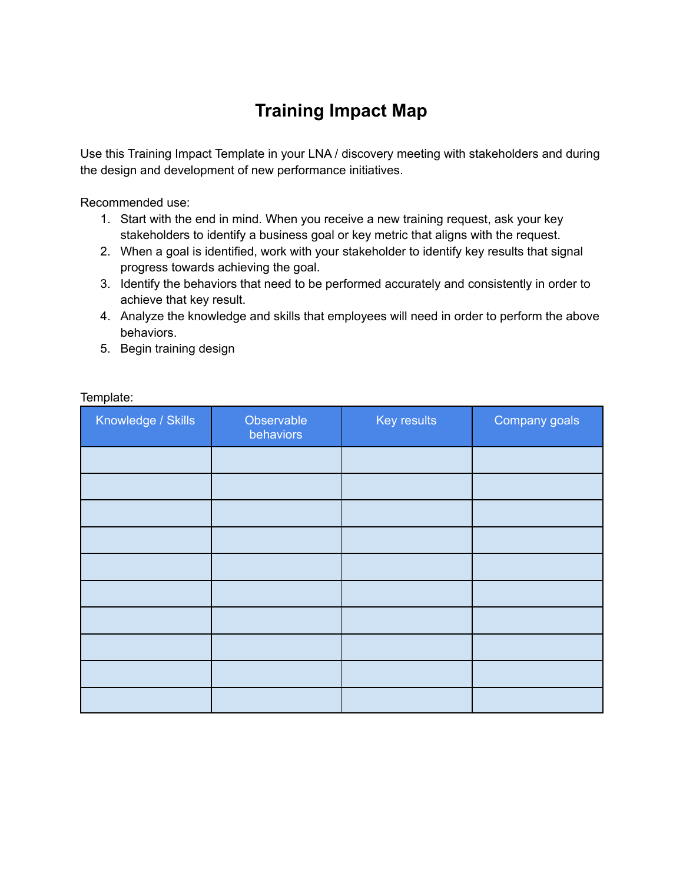## **Training Impact Map**

Use this Training Impact Template in your LNA / discovery meeting with stakeholders and during the design and development of new performance initiatives.

Recommended use:

- 1. Start with the end in mind. When you receive a new training request, ask your key stakeholders to identify a business goal or key metric that aligns with the request.
- 2. When a goal is identified, work with your stakeholder to identify key results that signal progress towards achieving the goal.
- 3. Identify the behaviors that need to be performed accurately and consistently in order to achieve that key result.
- 4. Analyze the knowledge and skills that employees will need in order to perform the above behaviors.
- 5. Begin training design

| Knowledge / Skills | Observable<br>behaviors | Key results | Company goals |
|--------------------|-------------------------|-------------|---------------|
|                    |                         |             |               |
|                    |                         |             |               |
|                    |                         |             |               |
|                    |                         |             |               |
|                    |                         |             |               |
|                    |                         |             |               |
|                    |                         |             |               |
|                    |                         |             |               |
|                    |                         |             |               |
|                    |                         |             |               |

## Template: